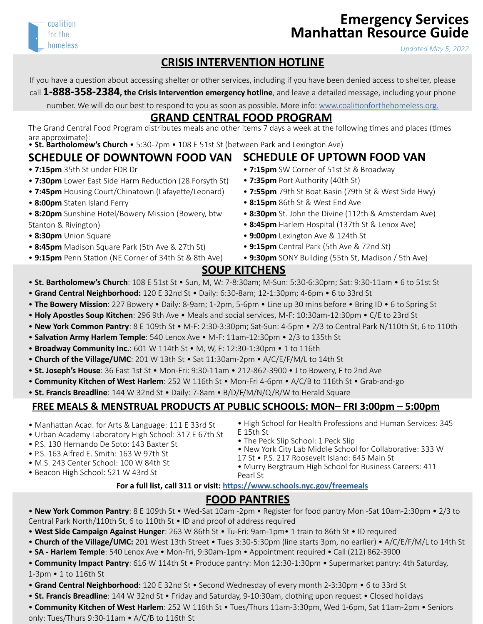

# **Emergency Services Manhattan Resource Guide**

*Updated May 5, 2022*

#### **CRISIS INTERVENTION HOTLINE**

If you have a question about accessing shelter or other services, including if you have been denied access to shelter, please

call **1-888-358-2384, the Crisis Intervention emergency hotline**, and leave a detailed message, including your phone

number. We will do our best to respond to you as soon as possible. More info: [www.coalitionforthehomeless.org.](http://www.coalitionforthehomeless.org)

## **GRAND CENTRAL FOOD PROGRAM**

The Grand Central Food Program distributes meals and other items 7 days a week at the following times and places (times are approximate):

#### • **St. Bartholomew's Church** • 5:30-7pm • 108 E 51st St (between Park and Lexington Ave)

#### **SCHEDULE OF DOWNTOWN FOOD VAN**

- **7:15pm** 35th St under FDR Dr
- **7:30pm** Lower East Side Harm Reduction (28 Forsyth St)
- **7:45pm** Housing Court/Chinatown (Lafayette/Leonard)
- **8:00pm** Staten Island Ferry
- **8:20pm** Sunshine Hotel/Bowery Mission (Bowery, btw Stanton & Rivington)
- **8:30pm** Union Square
- **8:45pm** Madison Square Park (5th Ave & 27th St)
- **9:15pm** Penn Station (NE Corner of 34th St & 8th Ave)

## **SCHEDULE OF UPTOWN FOOD VAN**

- **7:15pm** SW Corner of 51st St & Broadway
- **7:35pm** Port Authority (40th St)
- **7:55pm** 79th St Boat Basin (79th St & West Side Hwy)
- **8:15pm** 86th St & West End Ave
- **8:30pm** St. John the Divine (112th & Amsterdam Ave)
- **8:45pm** Harlem Hospital (137th St & Lenox Ave)
- • **9:00pm** Lexington Ave & 124th St
- **9:15pm** Central Park (5th Ave & 72nd St)
- • **9:30pm** SONY Building (55th St, Madison / 5th Ave)

#### **SOUP KITCHENS**

- **St. Bartholomew's Church**: 108 E 51st St Sun, M, W: 7-8:30am; M-Sun: 5:30-6:30pm; Sat: 9:30-11am 6 to 51st St
- **Grand Central Neighborhood:** 120 E 32nd St Daily: 6:30-8am; 12-1:30pm; 4-6pm 6 to 33rd St
- **The Bowery Mission**: 227 Bowery Daily: 8-9am; 1-2pm, 5-6pm Line up 30 mins before Bring ID 6 to Spring St
- **Holy Apostles Soup Kitchen**: 296 9th Ave Meals and social services, M-F: 10:30am-12:30pm C/E to 23rd St
- **New York Common Pantry**: 8 E 109th St M-F: 2:30-3:30pm; Sat-Sun: 4-5pm 2/3 to Central Park N/110th St, 6 to 110th
- **Salvation Army Harlem Temple**: 540 Lenox Ave M-F: 11am-12:30pm 2/3 to 135th St
- **Broadway Community Inc.**: 601 W 114th St M, W, F: 12:30-1:30pm 1 to 116th
- **Church of the Village/UMC**: 201 W 13th St Sat 11:30am-2pm A/C/E/F/M/L to 14th St
- **St. Joseph's House**: 36 East 1st St Mon-Fri: 9:30-11am 212-862-3900 J to Bowery, F to 2nd Ave
- **Community Kitchen of West Harlem**: 252 W 116th St Mon-Fri 4-6pm A/C/B to 116th St Grab-and-go
- **St. Francis Breadline**: 144 W 32nd St Daily: 7-8am B/D/F/M/N/Q/R/W to Herald Square

#### **FREE MEALS & MENSTRUAL PRODUCTS AT PUBLIC SCHOOLS: MON– FRI 3:00pm – 5:00pm**

- Manhattan Acad. for Arts & Language: 111 E 33rd St
- Urban Academy Laboratory High School: 317 E 67th St
- P.S. 130 Hernando De Soto: 143 Baxter St
- P.S. 163 Alfred E. Smith: 163 W 97th St
- M.S. 243 Center School: 100 W 84th St
- 
- High School for Health Professions and Human Services: 345 E 15th St
- The Peck Slip School: 1 Peck Slip
- New York City Lab Middle School for Collaborative: 333 W
- 

• Beacon High School: 521 W 43rd St

## **For a full list, call 311 or visit: <https://www.schools.nyc.gov/freemeals>**

## **FOOD PANTRIES**

- **New York Common Pantry**: 8 E 109th St Wed-Sat 10am -2pm Register for food pantry Mon -Sat 10am-2:30pm 2/3 to Central Park North/110th St, 6 to 110th St • ID and proof of address required
- **West Side Campaign Against Hunger**: 263 W 86th St Tu-Fri: 9am-1pm• 1 train to 86th St ID required
- **Church of the Village/UMC:** 201 West 13th Street Tues 3:30-5:30pm (line starts 3pm, no earlier) A/C/E/F/M/L to 14th St
- **SA Harlem Temple**: 540 Lenox Ave Mon-Fri, 9:30am-1pm Appointment required Call (212) 862-3900
- **Community Impact Pantry**: 616 W 114th St Produce pantry: Mon 12:30-1:30pm Supermarket pantry: 4th Saturday, 1-3pm • 1 to 116th St
- **Grand Central Neighborhood**: 120 E 32nd St Second Wednesday of every month 2-3:30pm 6 to 33rd St
- **St. Francis Breadline**: 144 W 32nd St Friday and Saturday, 9-10:30am, clothing upon request Closed holidays
- **Community Kitchen of West Harlem**: 252 W 116th St Tues/Thurs 11am-3:30pm, Wed 1-6pm, Sat 11am-2pm Seniors only: Tues/Thurs 9:30-11am • A/C/B to 116th St
- 
- -
	-
	- 17 St P.S. 217 Roosevelt Island: 645 Main St
- Murry Bergtraum High School for Business Careers: 411 Pearl St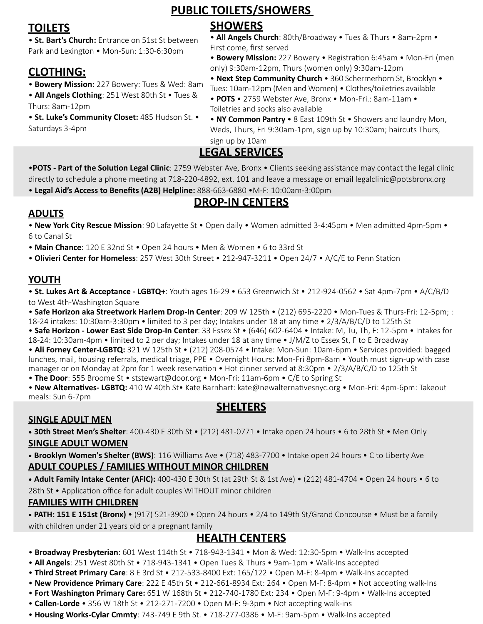# **PUBLIC TOILETS/SHOWERS**

## **TOILETS**

• **St. Bart's Church:** Entrance on 51st St between Park and Lexington • Mon-Sun: 1:30-6:30pm

## **CLOTHING:**

• **Bowery Mission:** 227 Bowery: Tues & Wed: 8am

• **All Angels Clothing**: 251 West 80th St • Tues & Thurs: 8am-12pm

• **St. Luke's Community Closet:** 485 Hudson St. • Saturdays 3-4pm

## **SHOWERS**

• **All Angels Church**: 80th/Broadway • Tues & Thurs • 8am-2pm • First come, first served

• **Bowery Mission:** 227 Bowery • Registration 6:45am • Mon-Fri (men only) 9:30am-12pm, Thurs (women only) 9:30am-12pm

• **Next Step Community Church** • 360 Schermerhorn St, Brooklyn • Tues: 10am-12pm (Men and Women) • Clothes/toiletries available

- • **POTS**  2759 Webster Ave, Bronx Mon-Fri.: 8am-11am Toiletries and socks also available
- • **NY Common Pantry**  8 East 109th St Showers and laundry Mon, Weds, Thurs, Fri 9:30am-1pm, sign up by 10:30am; haircuts Thurs, sign up by 10am

## **LEGAL SERVICES**

•**POTS - Part of the Solution Legal Clinic**: 2759 Webster Ave, Bronx • Clients seeking assistance may contact the legal clinic directly to schedule a phone meeting at 718-220-4892, ext. 101 and leave a message or email legalclinic@potsbronx.org • **Legal Aid's Access to Benefits (A2B) Helpline:** 888-663-6880 •M-F: 10:00am-3:00pm

## **DROP-IN CENTERS**

## **ADULTS**

• **New York City Rescue Mission**: 90 Lafayette St • Open daily • Women admitted 3-4:45pm • Men admitted 4pm-5pm • 6 to Canal St

• **Main Chance**: 120 E 32nd St • Open 24 hours • Men & Women • 6 to 33rd St

• **Olivieri Center for Homeless**: 257 West 30th Street • 212-947-3211 • Open 24/7 • A/C/E to Penn Station

#### **YOUTH**

• **St. Lukes Art & Acceptance - LGBTQ+**: Youth ages 16-29 • 653 Greenwich St • 212-924-0562 • Sat 4pm-7pm • A/C/B/D to West 4th-Washington Square

• **Safe Horizon aka Streetwork Harlem Drop-In Center**: 209 W 125th • (212) 695-2220 • Mon-Tues & Thurs-Fri: 12-5pm; : 18-24 intakes: 10:30am-3:30pm • limited to 3 per day; Intakes under 18 at any time • 2/3/A/B/C/D to 125th St

• **Safe Horizon - Lower East Side Drop-In Center**: 33 Essex St • (646) 602-6404 • Intake: M, Tu, Th, F: 12-5pm • Intakes for 18-24: 10:30am-4pm • limited to 2 per day; Intakes under 18 at any time • J/M/Z to Essex St, F to E Broadway

• **Ali Forney Center-LGBTQ:** 321 W 125th St • (212) 208-0574 • Intake: Mon-Sun: 10am-6pm • Services provided: bagged lunches, mail, housing referrals, medical triage, PPE • Overnight Hours: Mon-Fri 8pm-8am • Youth must sign-up with case manager or on Monday at 2pm for 1 week reservation • Hot dinner served at 8:30pm • 2/3/A/B/C/D to 125th St

• **The Door**: 555 Broome St • ststewart@door.org • Mon-Fri: 11am-6pm • C/E to Spring St

• **New Alternatives- LGBTQ:** 410 W 40th St• Kate Barnhart: kate@newalternativesnyc.org • Mon-Fri: 4pm-6pm: Takeout meals: Sun 6-7pm

## **SHELTERS**

### **SINGLE ADULT MEN**

• **30th Street Men's Shelter**: 400-430 E 30th St • (212) 481-0771 • Intake open 24 hours • 6 to 28th St • Men Only **SINGLE ADULT WOMEN**

• **Brooklyn Women's Shelter (BWS)**: 116 Williams Ave • (718) 483-7700 • Intake open 24 hours • C to Liberty Ave **ADULT COUPLES / FAMILIES WITHOUT MINOR CHILDREN**

• **Adult Family Intake Center (AFIC):** 400-430 E 30th St (at 29th St & 1st Ave) • (212) 481-4704 • Open 24 hours • 6 to 28th St • Application office for adult couples WITHOUT minor children

#### **FAMILIES WITH CHILDREN**

• **PATH: 151 E 151st (Bronx)** • (917) 521-3900 • Open 24 hours • 2/4 to 149th St/Grand Concourse • Must be a family with children under 21 years old or a pregnant family

## **HEALTH CENTERS**

- **Broadway Presbyterian**: 601 West 114th St 718-943-1341 Mon & Wed: 12:30-5pm Walk-Ins accepted
- • **All Angels**: 251 West 80th St 718-943-1341 Open Tues & Thurs 9am-1pm Walk-Ins accepted
- • **Third Street Primary Care**: 8 E 3rd St 212-533-8400 Ext: 165/122 Open M-F: 8-4pm Walk-Ins accepted
- • **New Providence Primary Care**: 222 E 45th St 212-661-8934 Ext: 264 Open M-F: 8-4pm Not accepting walk-Ins
- **Fort Washington Primary Care:** 651 W 168th St 212-740-1780 Ext: 234 Open M-F: 9-4pm Walk-Ins accepted
- **Callen-Lorde** 356 W 18th St 212-271-7200 Open M-F: 9-3pm Not accepting walk-ins
- **Housing Works-Cylar Cmmty**: 743-749 E 9th St. 718-277-0386 M-F: 9am-5pm Walk-Ins accepted